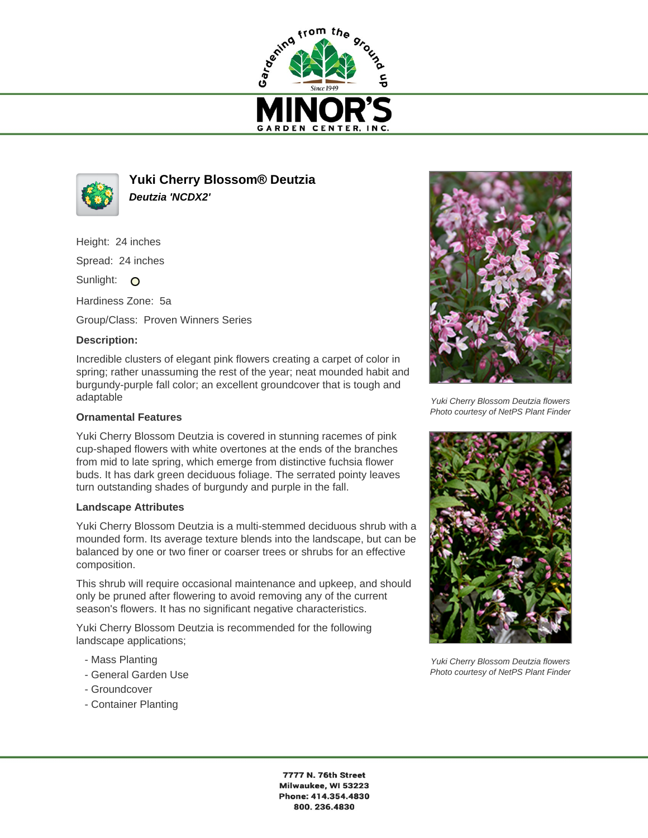



**Yuki Cherry Blossom® Deutzia Deutzia 'NCDX2'**

Height: 24 inches

Spread: 24 inches

Sunlight: O

Hardiness Zone: 5a

Group/Class: Proven Winners Series

## **Description:**

Incredible clusters of elegant pink flowers creating a carpet of color in spring; rather unassuming the rest of the year; neat mounded habit and burgundy-purple fall color; an excellent groundcover that is tough and adaptable

## **Ornamental Features**

Yuki Cherry Blossom Deutzia is covered in stunning racemes of pink cup-shaped flowers with white overtones at the ends of the branches from mid to late spring, which emerge from distinctive fuchsia flower buds. It has dark green deciduous foliage. The serrated pointy leaves turn outstanding shades of burgundy and purple in the fall.

## **Landscape Attributes**

Yuki Cherry Blossom Deutzia is a multi-stemmed deciduous shrub with a mounded form. Its average texture blends into the landscape, but can be balanced by one or two finer or coarser trees or shrubs for an effective composition.

This shrub will require occasional maintenance and upkeep, and should only be pruned after flowering to avoid removing any of the current season's flowers. It has no significant negative characteristics.

Yuki Cherry Blossom Deutzia is recommended for the following landscape applications;

- Mass Planting
- General Garden Use
- Groundcover
- Container Planting



Yuki Cherry Blossom Deutzia flowers Photo courtesy of NetPS Plant Finder



Yuki Cherry Blossom Deutzia flowers Photo courtesy of NetPS Plant Finder